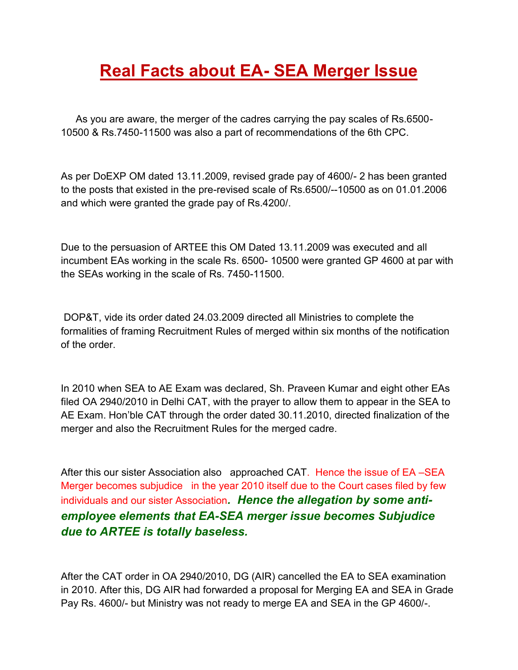## **Real Facts about EA- SEA Merger Issue**

 As you are aware, the merger of the cadres carrying the pay scales of Rs.6500- 10500 & Rs.7450-11500 was also a part of recommendations of the 6th CPC.

As per DoEXP OM dated 13.11.2009, revised grade pay of 4600/- 2 has been granted to the posts that existed in the pre-revised scale of Rs.6500/--10500 as on 01.01.2006 and which were granted the grade pay of Rs.4200/.

Due to the persuasion of ARTEE this OM Dated 13.11.2009 was executed and all incumbent EAs working in the scale Rs. 6500- 10500 were granted GP 4600 at par with the SEAs working in the scale of Rs. 7450-11500.

 DOP&T, vide its order dated 24.03.2009 directed all Ministries to complete the formalities of framing Recruitment Rules of merged within six months of the notification of the order.

In 2010 when SEA to AE Exam was declared, Sh. Praveen Kumar and eight other EAs filed OA 2940/2010 in Delhi CAT, with the prayer to allow them to appear in the SEA to AE Exam. Hon'ble CAT through the order dated 30.11.2010, directed finalization of the merger and also the Recruitment Rules for the merged cadre.

After this our sister Association also approached CAT. Hence the issue of EA –SEA Merger becomes subjudice in the year 2010 itself due to the Court cases filed by few individuals and our sister Association*. Hence the allegation by some antiemployee elements that EA-SEA merger issue becomes Subjudice due to ARTEE is totally baseless.* 

After the CAT order in OA 2940/2010, DG (AIR) cancelled the EA to SEA examination in 2010. After this, DG AIR had forwarded a proposal for Merging EA and SEA in Grade Pay Rs. 4600/- but Ministry was not ready to merge EA and SEA in the GP 4600/-.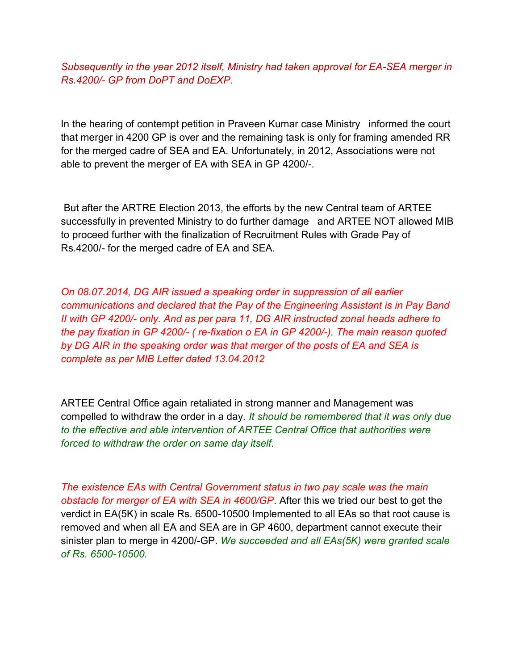*Subsequently in the year 2012 itself, Ministry had taken approval for EA-SEA merger in Rs.4200/- GP from DoPT and DoEXP.* 

In the hearing of contempt petition in Praveen Kumar case Ministry informed the court that merger in 4200 GP is over and the remaining task is only for framing amended RR for the merged cadre of SEA and EA. Unfortunately, in 2012, Associations were not able to prevent the merger of EA with SEA in GP 4200/-.

 But after the ARTRE Election 2013, the efforts by the new Central team of ARTEE successfully in prevented Ministry to do further damage and ARTEE NOT allowed MIB to proceed further with the finalization of Recruitment Rules with Grade Pay of Rs.4200/- for the merged cadre of EA and SEA.

*On 08.07.2014, DG AIR issued a speaking order in suppression of all earlier communications and declared that the Pay of the Engineering Assistant is in Pay Band II with GP 4200/- only. And as per para 11, DG AIR instructed zonal heads adhere to the pay fixation in GP 4200/- ( re-fixation o EA in GP 4200/-). The main reason quoted by DG AIR in the speaking order was that merger of the posts of EA and SEA is complete as per MIB Letter dated 13.04.2012* 

ARTEE Central Office again retaliated in strong manner and Management was compelled to withdraw the order in a day*. It should be remembered that it was only due to the effective and able intervention of ARTEE Central Office that authorities were forced to withdraw the order on same day itself*.

*The existence EAs with Central Government status in two pay scale was the main obstacle for merger of EA with SEA in 4600/GP*. After this we tried our best to get the verdict in EA(5K) in scale Rs. 6500-10500 Implemented to all EAs so that root cause is removed and when all EA and SEA are in GP 4600, department cannot execute their sinister plan to merge in 4200/-GP. *We succeeded and all EAs(5K) were granted scale of Rs. 6500-10500.*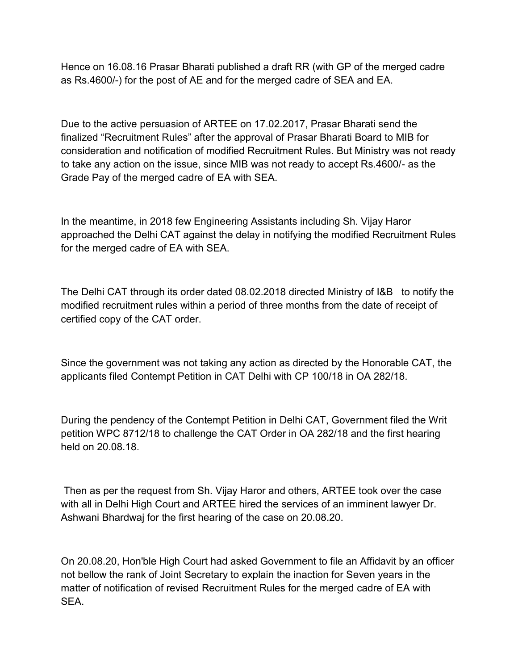Hence on 16.08.16 Prasar Bharati published a draft RR (with GP of the merged cadre as Rs.4600/-) for the post of AE and for the merged cadre of SEA and EA.

Due to the active persuasion of ARTEE on 17.02.2017, Prasar Bharati send the finalized "Recruitment Rules" after the approval of Prasar Bharati Board to MIB for consideration and notification of modified Recruitment Rules. But Ministry was not ready to take any action on the issue, since MIB was not ready to accept Rs.4600/- as the Grade Pay of the merged cadre of EA with SEA.

In the meantime, in 2018 few Engineering Assistants including Sh. Vijay Haror approached the Delhi CAT against the delay in notifying the modified Recruitment Rules for the merged cadre of EA with SEA.

The Delhi CAT through its order dated 08.02.2018 directed Ministry of I&B to notify the modified recruitment rules within a period of three months from the date of receipt of certified copy of the CAT order.

Since the government was not taking any action as directed by the Honorable CAT, the applicants filed Contempt Petition in CAT Delhi with CP 100/18 in OA 282/18.

During the pendency of the Contempt Petition in Delhi CAT, Government filed the Writ petition WPC 8712/18 to challenge the CAT Order in OA 282/18 and the first hearing held on 20.08.18.

 Then as per the request from Sh. Vijay Haror and others, ARTEE took over the case with all in Delhi High Court and ARTEE hired the services of an imminent lawyer Dr. Ashwani Bhardwaj for the first hearing of the case on 20.08.20.

On 20.08.20, Hon'ble High Court had asked Government to file an Affidavit by an officer not bellow the rank of Joint Secretary to explain the inaction for Seven years in the matter of notification of revised Recruitment Rules for the merged cadre of EA with SEA.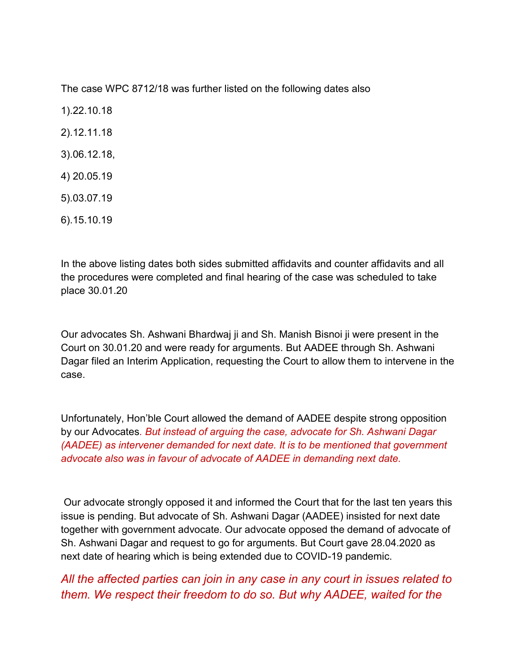The case WPC 8712/18 was further listed on the following dates also

1).22.10.18 2).12.11.18 3).06.12.18, 4) 20.05.19

- 5).03.07.19
- 6).15.10.19

In the above listing dates both sides submitted affidavits and counter affidavits and all the procedures were completed and final hearing of the case was scheduled to take place 30.01.20

Our advocates Sh. Ashwani Bhardwaj ji and Sh. Manish Bisnoi ji were present in the Court on 30.01.20 and were ready for arguments. But AADEE through Sh. Ashwani Dagar filed an Interim Application, requesting the Court to allow them to intervene in the case.

Unfortunately, Hon'ble Court allowed the demand of AADEE despite strong opposition by our Advocates*. But instead of arguing the case, advocate for Sh. Ashwani Dagar (AADEE) as intervener demanded for next date. It is to be mentioned that government advocate also was in favour of advocate of AADEE in demanding next date.* 

 Our advocate strongly opposed it and informed the Court that for the last ten years this issue is pending. But advocate of Sh. Ashwani Dagar (AADEE) insisted for next date together with government advocate. Our advocate opposed the demand of advocate of Sh. Ashwani Dagar and request to go for arguments. But Court gave 28.04.2020 as next date of hearing which is being extended due to COVID-19 pandemic.

## *All the affected parties can join in any case in any court in issues related to them. We respect their freedom to do so. But why AADEE, waited for the*